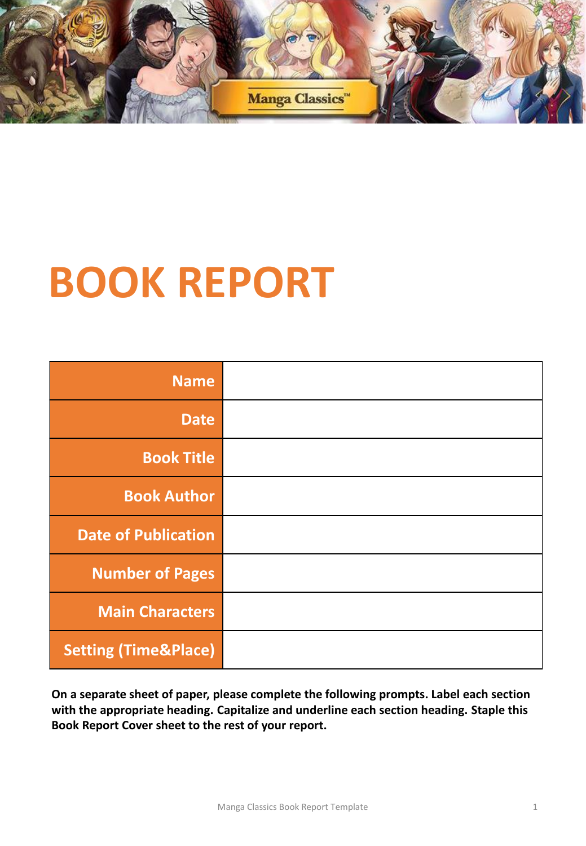

# **BOOK REPORT**

|                                 | <b>Name</b>                |  |
|---------------------------------|----------------------------|--|
|                                 | <b>Date</b>                |  |
|                                 | <b>Book Title</b>          |  |
|                                 | <b>Book Author</b>         |  |
|                                 | <b>Date of Publication</b> |  |
|                                 | <b>Number of Pages</b>     |  |
|                                 | <b>Main Characters</b>     |  |
| <b>Setting (Time&amp;Place)</b> |                            |  |

**On a separate sheet of paper, please complete the following prompts. Label each section with the appropriate heading. Capitalize and underline each section heading. Staple this Book Report Cover sheet to the rest of your report.**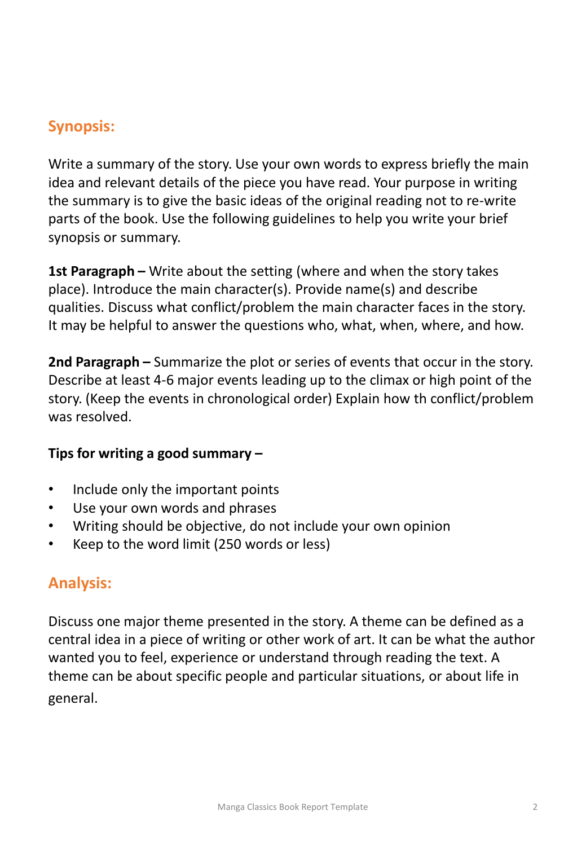## **Synopsis:**

Write a summary of the story. Use your own words to express briefly the main idea and relevant details of the piece you have read. Your purpose in writing the summary is to give the basic ideas of the original reading not to re-write parts of the book. Use the following guidelines to help you write your brief synopsis or summary.

**1st Paragraph –** Write about the setting (where and when the story takes place). Introduce the main character(s). Provide name(s) and describe qualities. Discuss what conflict/problem the main character faces in the story. It may be helpful to answer the questions who, what, when, where, and how.

**2nd Paragraph –** Summarize the plot or series of events that occur in the story. Describe at least 4-6 major events leading up to the climax or high point of the story. (Keep the events in chronological order) Explain how th conflict/problem was resolved.

#### **Tips for writing a good summary –**

- Include only the important points
- Use your own words and phrases
- Writing should be objective, do not include your own opinion
- Keep to the word limit (250 words or less)

## **Analysis:**

Discuss one major theme presented in the story. A theme can be defined as a central idea in a piece of writing or other work of art. It can be what the author wanted you to feel, experience or understand through reading the text. A theme can be about specific people and particular situations, or about life in general.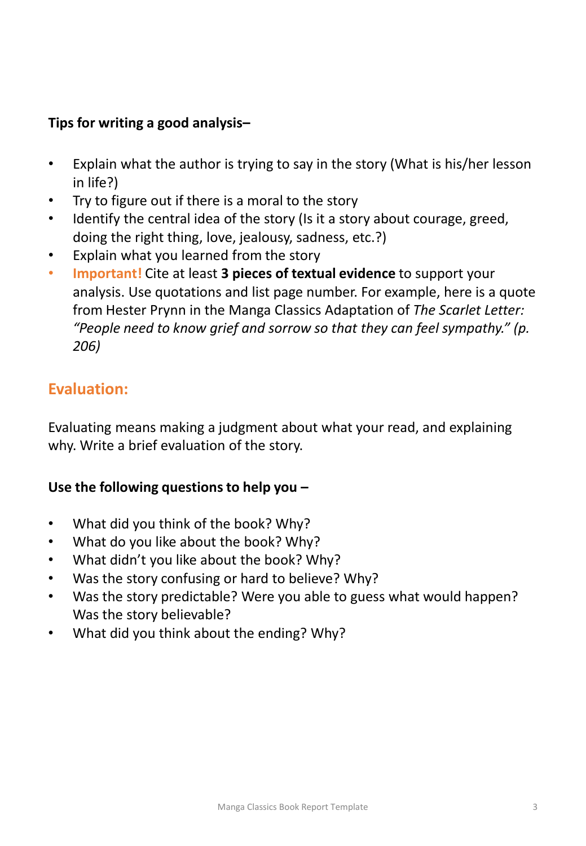#### **Tips for writing a good analysis–**

- Explain what the author is trying to say in the story (What is his/her lesson in life?)
- Try to figure out if there is a moral to the story
- Identify the central idea of the story (Is it a story about courage, greed, doing the right thing, love, jealousy, sadness, etc.?)
- Explain what you learned from the story
- **Important!** Cite at least **3 pieces of textual evidence** to support your analysis. Use quotations and list page number. For example, here is a quote from Hester Prynn in the Manga Classics Adaptation of *The Scarlet Letter: "People need to know grief and sorrow so that they can feel sympathy." (p. 206)*

## **Evaluation:**

Evaluating means making a judgment about what your read, and explaining why. Write a brief evaluation of the story.

#### **Use the following questions to help you –**

- What did you think of the book? Why?
- What do you like about the book? Why?
- What didn't you like about the book? Why?
- Was the story confusing or hard to believe? Why?
- Was the story predictable? Were you able to guess what would happen? Was the story believable?
- What did you think about the ending? Why?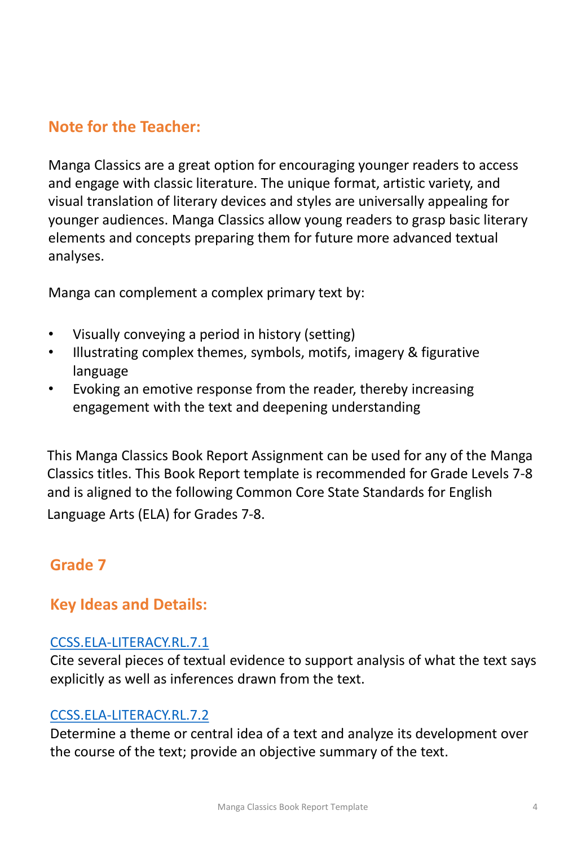## **Note for the Teacher:**

Manga Classics are a great option for encouraging younger readers to access and engage with classic literature. The unique format, artistic variety, and visual translation of literary devices and styles are universally appealing for younger audiences. Manga Classics allow young readers to grasp basic literary elements and concepts preparing them for future more advanced textual analyses.

Manga can complement a complex primary text by:

- Visually conveying a period in history (setting)
- Illustrating complex themes, symbols, motifs, imagery & figurative language
- Evoking an emotive response from the reader, thereby increasing engagement with the text and deepening understanding

This Manga Classics Book Report Assignment can be used for any of the Manga Classics titles. This Book Report template is recommended for Grade Levels 7-8 and is aligned to the following Common Core State Standards for English Language Arts (ELA) for Grades 7-8.

## **Grade 7**

## **Key Ideas and Details:**

#### [CCSS.ELA-LITERACY.RL.7.1](http://www.corestandards.org/ELA-Literacy/RL/7/1/)

Cite several pieces of textual evidence to support analysis of what the text says explicitly as well as inferences drawn from the text.

#### [CCSS.ELA-LITERACY.RL.7.2](http://www.corestandards.org/ELA-Literacy/RL/7/2/)

Determine a theme or central idea of a text and analyze its development over the course of the text; provide an objective summary of the text.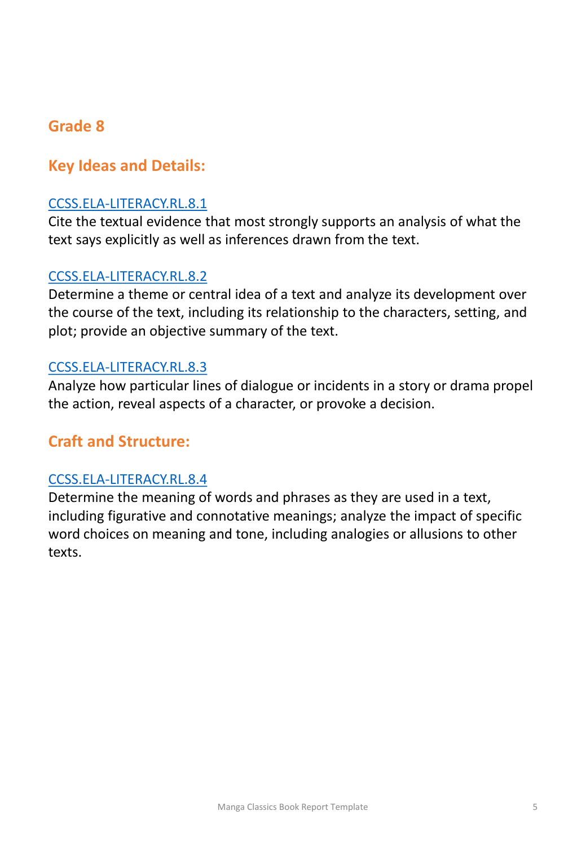### **Grade 8**

#### **Key Ideas and Details:**

#### [CCSS.ELA-LITERACY.RL.8.1](http://www.corestandards.org/ELA-Literacy/RL/8/1/)

Cite the textual evidence that most strongly supports an analysis of what the text says explicitly as well as inferences drawn from the text.

#### [CCSS.ELA-LITERACY.RL.8.2](http://www.corestandards.org/ELA-Literacy/RL/8/2/)

Determine a theme or central idea of a text and analyze its development over the course of the text, including its relationship to the characters, setting, and plot; provide an objective summary of the text.

#### [CCSS.ELA-LITERACY.RL.8.3](http://www.corestandards.org/ELA-Literacy/RL/8/3/)

Analyze how particular lines of dialogue or incidents in a story or drama propel the action, reveal aspects of a character, or provoke a decision.

#### **Craft and Structure:**

#### [CCSS.ELA-LITERACY.RL.8.4](http://www.corestandards.org/ELA-Literacy/RL/8/4/)

Determine the meaning of words and phrases as they are used in a text, including figurative and connotative meanings; analyze the impact of specific word choices on meaning and tone, including analogies or allusions to other texts.